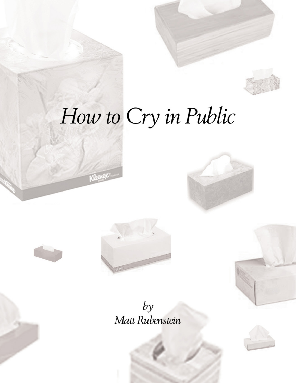

# How to Cry in Public





 $by$ Matt Rubenstein

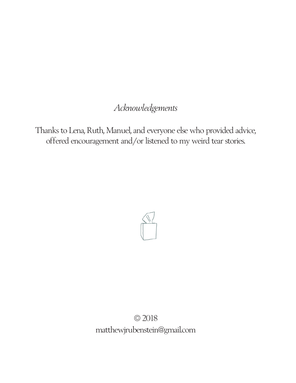## *Acknowledgements*

Thanks to Lena, Ruth, Manuel, and everyone else who provided advice, offered encouragement and/or listened to my weird tear stories.



© 2018 matthewjrubenstein@gmail.com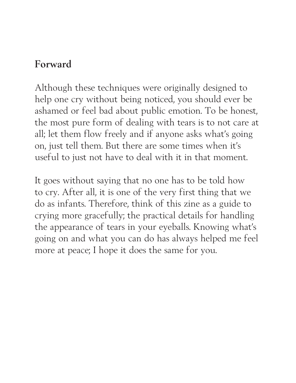## **Forward**

Although these techniques were originally designed to help one cry without being noticed, you should ever be ashamed or feel bad about public emotion. To be honest, the most pure form of dealing with tears is to not care at all; let them flow freely and if anyone asks what's going on, just tell them. But there are some times when it's useful to just not have to deal with it in that moment.

It goes without saying that no one has to be told how to cry. After all, it is one of the very first thing that we do as infants. Therefore, think of this zine as a guide to crying more gracefully; the practical details for handling the appearance of tears in your eyeballs. Knowing what's going on and what you can do has always helped me feel more at peace; I hope it does the same for you.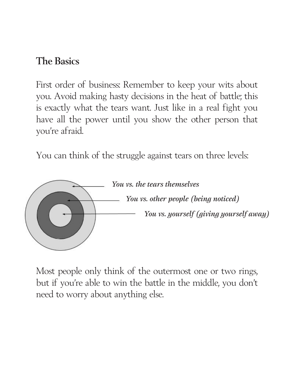## **The Basics**

First order of business: Remember to keep your wits about you. Avoid making hasty decisions in the heat of battle; this is exactly what the tears want. Just like in a real fight you have all the power until you show the other person that you're afraid.

You can think of the struggle against tears on three levels:



Most people only think of the outermost one or two rings, but if you're able to win the battle in the middle, you don't need to worry about anything else.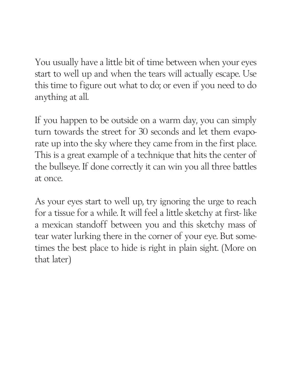You usually have a little bit of time between when your eyes start to well up and when the tears will actually escape. Use this time to figure out what to do; or even if you need to do anything at all.

If you happen to be outside on a warm day, you can simply turn towards the street for 30 seconds and let them evaporate up into the sky where they came from in the first place. This is a great example of a technique that hits the center of the bullseye. If done correctly it can win you all three battles at once.

As your eyes start to well up, try ignoring the urge to reach for a tissue for a while. It will feel a little sketchy at first- like a mexican standoff between you and this sketchy mass of tear water lurking there in the corner of your eye. But sometimes the best place to hide is right in plain sight. (More on that later)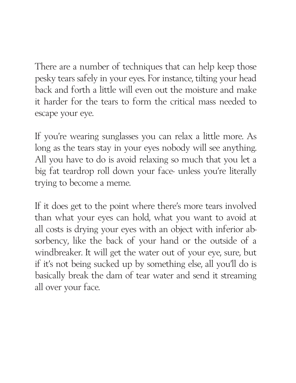There are a number of techniques that can help keep those pesky tears safely in your eyes. For instance, tilting your head back and forth a little will even out the moisture and make it harder for the tears to form the critical mass needed to escape your eye.

If you're wearing sunglasses you can relax a little more. As long as the tears stay in your eyes nobody will see anything. All you have to do is avoid relaxing so much that you let a big fat teardrop roll down your face- unless you're literally trying to become a meme.

If it does get to the point where there's more tears involved than what your eyes can hold, what you want to avoid at all costs is drying your eyes with an object with inferior absorbency, like the back of your hand or the outside of a windbreaker. It will get the water out of your eye, sure, but if it's not being sucked up by something else, all you'll do is basically break the dam of tear water and send it streaming all over your face.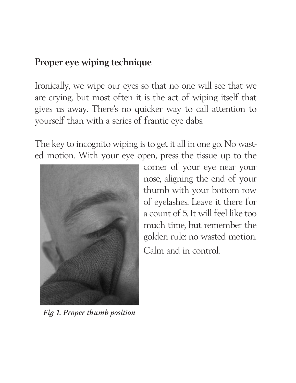## **Proper eye wiping technique**

Ironically, we wipe our eyes so that no one will see that we are crying, but most often it is the act of wiping itself that gives us away. There's no quicker way to call attention to yourself than with a series of frantic eye dabs.

The key to incognito wiping is to get it all in one go. No wasted motion. With your eye open, press the tissue up to the



*Fig 1. Proper thumb position*

corner of your eye near your nose, aligning the end of your thumb with your bottom row of eyelashes. Leave it there for a count of 5. It will feel like too much time, but remember the golden rule: no wasted motion. Calm and in control.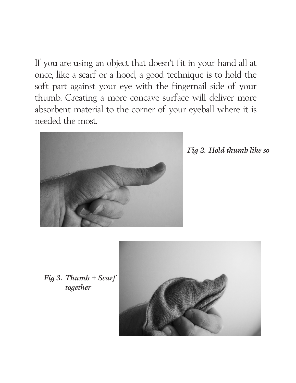If you are using an object that doesn't fit in your hand all at once, like a scarf or a hood, a good technique is to hold the soft part against your eye with the fingernail side of your thumb. Creating a more concave surface will deliver more absorbent material to the corner of your eyeball where it is needed the most.



*Fig 2. Hold thumb like so*

*Fig 3. Thumb + Scarf together*

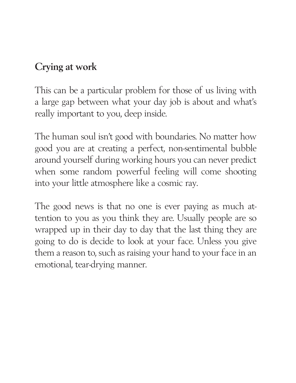## **Crying at work**

This can be a particular problem for those of us living with a large gap between what your day job is about and what's really important to you, deep inside.

The human soul isn't good with boundaries. No matter how good you are at creating a perfect, non-sentimental bubble around yourself during working hours you can never predict when some random powerful feeling will come shooting into your little atmosphere like a cosmic ray.

The good news is that no one is ever paying as much attention to you as you think they are. Usually people are so wrapped up in their day to day that the last thing they are going to do is decide to look at your face. Unless you give them a reason to, such as raising your hand to your face in an emotional, tear-drying manner.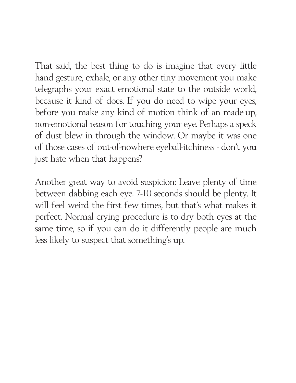That said, the best thing to do is imagine that every little hand gesture, exhale, or any other tiny movement you make telegraphs your exact emotional state to the outside world, because it kind of does. If you do need to wipe your eyes, before you make any kind of motion think of an made-up, non-emotional reason for touching your eye. Perhaps a speck of dust blew in through the window. Or maybe it was one of those cases of out-of-nowhere eyeball-itchiness - don't you just hate when that happens?

Another great way to avoid suspicion: Leave plenty of time between dabbing each eye. 7-10 seconds should be plenty. It will feel weird the first few times, but that's what makes it perfect. Normal crying procedure is to dry both eyes at the same time, so if you can do it differently people are much less likely to suspect that something's up.